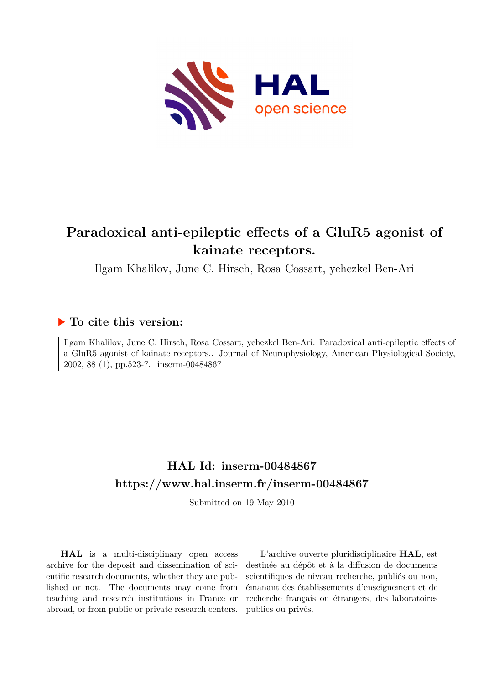

## **Paradoxical anti-epileptic effects of a GluR5 agonist of kainate receptors.**

Ilgam Khalilov, June C. Hirsch, Rosa Cossart, yehezkel Ben-Ari

### **To cite this version:**

Ilgam Khalilov, June C. Hirsch, Rosa Cossart, yehezkel Ben-Ari. Paradoxical anti-epileptic effects of a GluR5 agonist of kainate receptors.. Journal of Neurophysiology, American Physiological Society, 2002, 88 (1), pp.523-7. inserm-00484867

### **HAL Id: inserm-00484867 <https://www.hal.inserm.fr/inserm-00484867>**

Submitted on 19 May 2010

**HAL** is a multi-disciplinary open access archive for the deposit and dissemination of scientific research documents, whether they are published or not. The documents may come from teaching and research institutions in France or abroad, or from public or private research centers.

L'archive ouverte pluridisciplinaire **HAL**, est destinée au dépôt et à la diffusion de documents scientifiques de niveau recherche, publiés ou non, émanant des établissements d'enseignement et de recherche français ou étrangers, des laboratoires publics ou privés.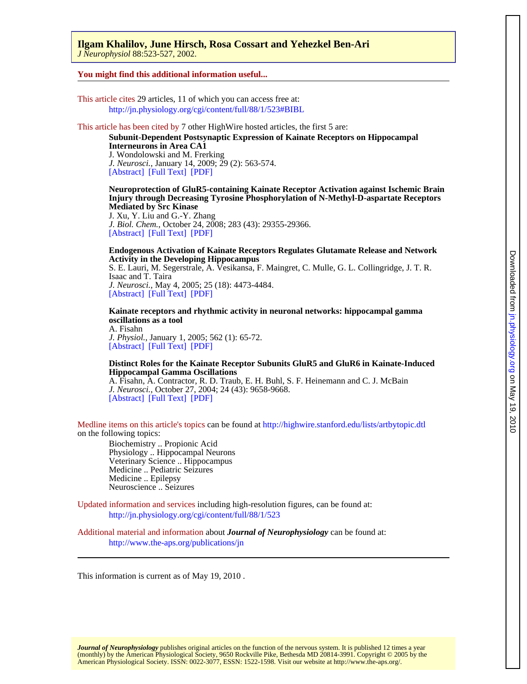*J Neurophysiol* 88:523-527, 2002. **Ilgam Khalilov, June Hirsch, Rosa Cossart and Yehezkel Ben-Ari** 

#### **You might find this additional information useful...**

This article cites 29 articles, 11 of which you can access free at: <http://jn.physiology.org/cgi/content/full/88/1/523#BIBL>

#### This article has been cited by 7 other HighWire hosted articles, the first 5 are:

J. Wondolowski and M. Frerking **Interneurons in Area CA1 Subunit-Dependent Postsynaptic Expression of Kainate Receptors on Hippocampal**

[\[Abstract\]](http://www.jneurosci.org/cgi/content/abstract/29/2/563) [\[Full Text\]](http://www.jneurosci.org/cgi/content/full/29/2/563) [\[PDF\]](http://www.jneurosci.org/cgi/reprint/29/2/563) *J. Neurosci.*, January 14, 2009; 29 (2): 563-574.

**Mediated by Src Kinase Injury through Decreasing Tyrosine Phosphorylation of N-Methyl-D-aspartate Receptors Neuroprotection of GluR5-containing Kainate Receptor Activation against Ischemic Brain**

[\[Abstract\]](http://www.jbc.org/cgi/content/abstract/283/43/29355) [\[Full Text\]](http://www.jbc.org/cgi/content/full/283/43/29355) [\[PDF\]](http://www.jbc.org/cgi/reprint/283/43/29355) *J. Biol. Chem.*, October 24, 2008; 283 (43): 29355-29366. J. Xu, Y. Liu and G.-Y. Zhang

#### **Activity in the Developing Hippocampus Endogenous Activation of Kainate Receptors Regulates Glutamate Release and Network**

[\[Abstract\]](http://www.jneurosci.org/cgi/content/abstract/25/18/4473) [\[Full Text\]](http://www.jneurosci.org/cgi/content/full/25/18/4473) [\[PDF\]](http://www.jneurosci.org/cgi/reprint/25/18/4473) *J. Neurosci.*, May 4, 2005; 25 (18): 4473-4484. Isaac and T. Taira S. E. Lauri, M. Segerstrale, A. Vesikansa, F. Maingret, C. Mulle, G. L. Collingridge, J. T. R.

A. Fisahn **oscillations as a tool Kainate receptors and rhythmic activity in neuronal networks: hippocampal gamma**

[\[Abstract\]](http://jp.physoc.org/cgi/content/abstract/562/1/65) [\[Full Text\]](http://jp.physoc.org/cgi/content/full/562/1/65) [\[PDF\]](http://jp.physoc.org/cgi/reprint/562/1/65) *J. Physiol.*, January 1, 2005; 562 (1): 65-72.

#### **Hippocampal Gamma Oscillations Distinct Roles for the Kainate Receptor Subunits GluR5 and GluR6 in Kainate-Induced**

[\[Abstract\]](http://www.jneurosci.org/cgi/content/abstract/24/43/9658) [\[Full Text\]](http://www.jneurosci.org/cgi/content/full/24/43/9658) [\[PDF\]](http://www.jneurosci.org/cgi/reprint/24/43/9658) *J. Neurosci.*, October 27, 2004; 24 (43): 9658-9668. A. Fisahn, A. Contractor, R. D. Traub, E. H. Buhl, S. F. Heinemann and C. J. McBain

on the following topics: Medline items on this article's topics can be found at<http://highwire.stanford.edu/lists/artbytopic.dtl>

Neuroscience .. Seizures Medicine .. Epilepsy Medicine .. Pediatric Seizures Veterinary Science .. Hippocampus Physiology .. Hippocampal Neurons Biochemistry .. Propionic Acid

Updated information and services including high-resolution figures, can be found at: <http://jn.physiology.org/cgi/content/full/88/1/523>

Additional material and information about *Journal of Neurophysiology* can be found at: <http://www.the-aps.org/publications/jn>

This information is current as of May 19, 2010 .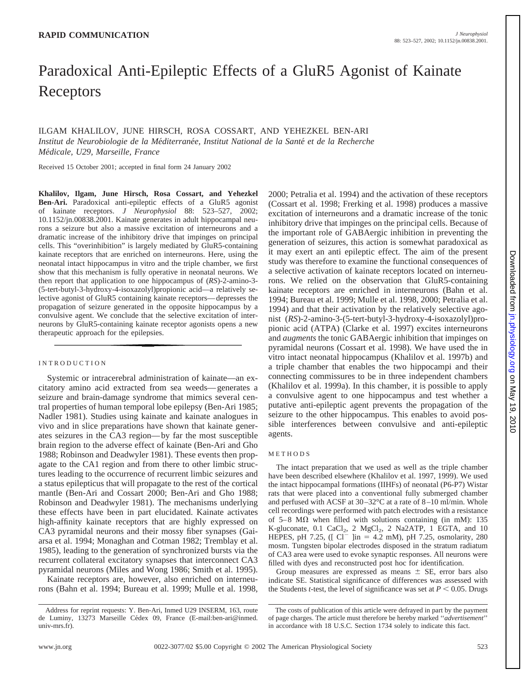# Paradoxical Anti-Epileptic Effects of a GluR5 Agonist of Kainate Receptors

ILGAM KHALILOV, JUNE HIRSCH, ROSA COSSART, AND YEHEZKEL BEN-ARI Institut de Neurobiologie de la Méditerranée, Institut National de la Santé et de la Recherche *Me´dicale, U29, Marseille, France*

Received 15 October 2001; accepted in final form 24 January 2002

**Khalilov, Ilgam, June Hirsch, Rosa Cossart, and Yehezkel Ben-Ari.** Paradoxical anti-epileptic effects of a GluR5 agonist of kainate receptors. *J Neurophysiol* 88: 523–527, 2002; 10.1152/jn.00838.2001. Kainate generates in adult hippocampal neurons a seizure but also a massive excitation of interneurons and a dramatic increase of the inhibitory drive that impinges on principal cells. This "overinhibition" is largely mediated by GluR5-containing kainate receptors that are enriched on interneurons. Here, using the neonatal intact hippocampus in vitro and the triple chamber, we first show that this mechanism is fully operative in neonatal neurons. We then report that application to one hippocampus of (*RS*)-2-amino-3- (5-tert-butyl-3-hydroxy-4-isoxazolyl)propionic acid—a relatively selective agonist of GluR5 containing kainate receptors—depresses the propagation of seizure generated in the opposite hippocampus by a convulsive agent. We conclude that the selective excitation of interneurons by GluR5-containing kainate receptor agonists opens a new therapeutic approach for the epilepsies.

#### INTRODUCTION

Systemic or intracerebral administration of kainate—an excitatory amino acid extracted from sea weeds—generates a seizure and brain-damage syndrome that mimics several central properties of human temporal lobe epilepsy (Ben-Ari 1985; Nadler 1981). Studies using kainate and kainate analogues in vivo and in slice preparations have shown that kainate generates seizures in the CA3 region—by far the most susceptible brain region to the adverse effect of kainate (Ben-Ari and Gho 1988; Robinson and Deadwyler 1981). These events then propagate to the CA1 region and from there to other limbic structures leading to the occurrence of recurrent limbic seizures and a status epilepticus that will propagate to the rest of the cortical mantle (Ben-Ari and Cossart 2000; Ben-Ari and Gho 1988; Robinson and Deadwyler 1981). The mechanisms underlying these effects have been in part elucidated. Kainate activates high-affinity kainate receptors that are highly expressed on CA3 pyramidal neurons and their mossy fiber synapses (Gaiarsa et al. 1994; Monaghan and Cotman 1982; Tremblay et al. 1985), leading to the generation of synchronized bursts via the recurrent collateral excitatory synapses that interconnect CA3 pyramidal neurons (Miles and Wong 1986; Smith et al. 1995).

Kainate receptors are, however, also enriched on interneurons (Bahn et al. 1994; Bureau et al. 1999; Mulle et al. 1998, 2000; Petralia et al. 1994) and the activation of these receptors (Cossart et al. 1998; Frerking et al. 1998) produces a massive excitation of interneurons and a dramatic increase of the tonic inhibitory drive that impinges on the principal cells. Because of the important role of GABAergic inhibition in preventing the generation of seizures, this action is somewhat paradoxical as it may exert an anti epileptic effect. The aim of the present study was therefore to examine the functional consequences of a selective activation of kainate receptors located on interneurons. We relied on the observation that GluR5-containing kainate receptors are enriched in interneurons (Bahn et al. 1994; Bureau et al. 1999; Mulle et al. 1998, 2000; Petralia et al. 1994) and that their activation by the relatively selective agonist (*RS*)-2-amino-3-(5-tert-butyl-3-hydroxy-4-isoxazolyl)propionic acid (ATPA) (Clarke et al. 1997) excites interneurons and *augments* the tonic GABAergic inhibition that impinges on pyramidal neurons (Cossart et al. 1998). We have used the in vitro intact neonatal hippocampus (Khalilov et al. 1997b) and a triple chamber that enables the two hippocampi and their connecting commissures to be in three independent chambers (Khalilov et al. 1999a). In this chamber, it is possible to apply a convulsive agent to one hippocampus and test whether a putative anti-epileptic agent prevents the propagation of the seizure to the other hippocampus. This enables to avoid possible interferences between convulsive and anti-epileptic agents.

#### METHODS

The intact preparation that we used as well as the triple chamber have been described elsewhere (Khalilov et al. 1997, 1999). We used the intact hippocampal formations (IIHFs) of neonatal (P6-P7) Wistar rats that were placed into a conventional fully submerged chamber and perfused with ACSF at 30–32°C at a rate of 8–10 ml/min. Whole cell recordings were performed with patch electrodes with a resistance of  $5-8$  M $\Omega$  when filled with solutions containing (in mM): 135 K-gluconate,  $0.1 \text{ CaCl}_2$ ,  $2 \text{ MgCl}_2$ ,  $2 \text{ Na}2ATP$ ,  $1 \text{ EGTA}$ , and  $10 \text{ HEPES}$ , pH 7.25, ([ Cl<sup>-</sup> ]in = 4.2 mM), pH 7.25, osmolarity, 280 mosm. Tungsten bipolar electrodes disposed in the stratum radiatum of CA3 area were used to evoke synaptic responses. All neurons were filled with dyes and reconstructed post hoc for identification.

Group measures are expressed as means  $\pm$  SE, error bars also indicate SE. Statistical significance of differences was assessed with the Students *t*-test, the level of significance was set at  $P \leq 0.05$ . Drugs

Downloadedfrom [jn.physiology.org](http://jn.physiology.org) on May 19, 2010

 $.2010$ 

Address for reprint requests: Y. Ben-Ari, Inmed U29 INSERM, 163, route de Luminy, 13273 Marseille Cédex 09, France (E-mail:ben-ari@inmed. univ-mrs.fr).

The costs of publication of this article were defrayed in part by the payment of page charges. The article must therefore be hereby marked ''*advertisement*'' in accordance with 18 U.S.C. Section 1734 solely to indicate this fact.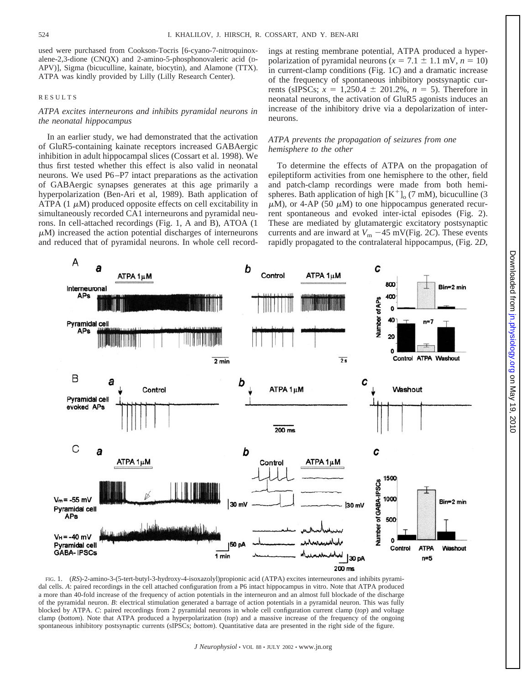used were purchased from Cookson-Tocris [6-cyano-7-nitroquinoxalene-2,3-dione (CNQX) and 2-amino-5-phosphonovaleric acid (D-APV)], Sigma (bicuculline, kainate, biocytin), and Alamone (TTX). ATPA was kindly provided by Lilly (Lilly Research Center).

#### RESULTS

#### *ATPA excites interneurons and inhibits pyramidal neurons in the neonatal hippocampus*

In an earlier study, we had demonstrated that the activation of GluR5-containing kainate receptors increased GABAergic inhibition in adult hippocampal slices (Cossart et al. 1998). We thus first tested whether this effect is also valid in neonatal neurons. We used P6–P7 intact preparations as the activation of GABAergic synapses generates at this age primarily a hyperpolarization (Ben-Ari et al, 1989). Bath application of ATPA (1  $\mu$ M) produced opposite effects on cell excitability in simultaneously recorded CA1 interneurons and pyramidal neurons. In cell-attached recordings (Fig. 1, A and B), ATOA (1  $\mu$ M) increased the action potential discharges of interneurons and reduced that of pyramidal neurons. In whole cell record-

ings at resting membrane potential, ATPA produced a hyperpolarization of pyramidal neurons ( $x = 7.1 \pm 1.1$  mV,  $n = 10$ ) in current-clamp conditions (Fig. 1*C*) and a dramatic increase of the frequency of spontaneous inhibitory postsynaptic currents (sIPSCs;  $x = 1,250.4 \pm 201.2\%$ ,  $n = 5$ ). Therefore in neonatal neurons, the activation of GluR5 agonists induces an increase of the inhibitory drive via a depolarization of interneurons.

#### *ATPA prevents the propagation of seizures from one hemisphere to the other*

To determine the effects of ATPA on the propagation of epileptiform activities from one hemisphere to the other, field and patch-clamp recordings were made from both hemispheres. Bath application of high  $[K^+]_0$  (7 mM), bicuculline (3  $\mu$ M), or 4-AP (50  $\mu$ M) to one hippocampus generated recurrent spontaneous and evoked inter-ictal episodes (Fig. 2). These are mediated by glutamatergic excitatory postsynaptic currents and are inward at  $V_{\text{m}}$  –45 mV(Fig. 2*C*). These events rapidly propagated to the contralateral hippocampus, (Fig. 2*D*,



FIG. 1. (*RS*)-2-amino-3-(5-tert-butyl-3-hydroxy-4-isoxazolyl)propionic acid (ATPA) excites interneurones and inhibits pyramidal cells. *A*: paired recordings in the cell attached configuration from a P6 intact hippocampus in vitro. Note that ATPA produced a more than 40-fold increase of the frequency of action potentials in the interneuron and an almost full blockade of the discharge of the pyramidal neuron. *B*: electrical stimulation generated a barrage of action potentials in a pyramidal neuron. This was fully blocked by ATPA. *C*: paired recordings from 2 pyramidal neurons in whole cell configuration current clamp (*top*) and voltage clamp (*bottom*). Note that ATPA produced a hyperpolarization (*top*) and a massive increase of the frequency of the ongoing spontaneous inhibitory postsynaptic currents (sIPSCs; *bottom*). Quantitative data are presented in the right side of the figure.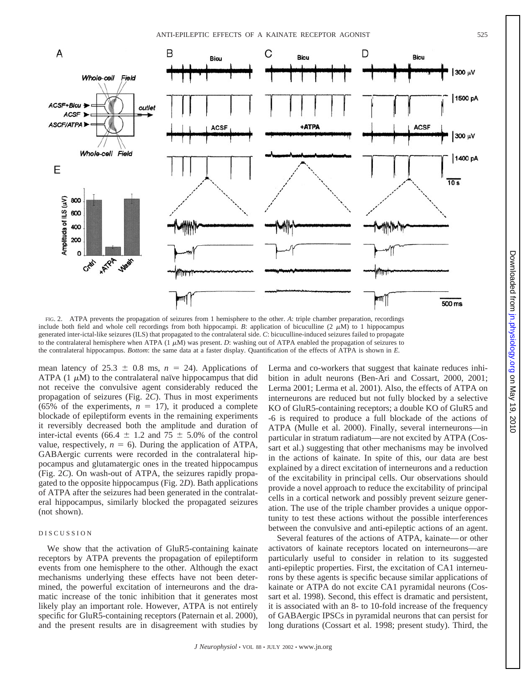

FIG. 2. ATPA prevents the propagation of seizures from 1 hemisphere to the other. *A*: triple chamber preparation, recordings include both field and whole cell recordings from both hippocampi. *B*: application of bicuculline  $(2 \mu M)$  to 1 hippocampus generated inter-ictal-like seizures (ILS) that propagated to the contralateral side. *C*: bicuculline-induced seizures failed to propagate to the contralateral hemisphere when ATPA  $(1 \mu M)$  was present. *D*: washing out of ATPA enabled the propagation of seizures to the contralateral hippocampus. *Bottom*: the same data at a faster display. Quantification of the effects of ATPA is shown in *E.*

mean latency of  $25.3 \pm 0.8$  ms,  $n = 24$ ). Applications of ATPA (1  $\mu$ M) to the contralateral naïve hippocampus that did not receive the convulsive agent considerably reduced the propagation of seizures (Fig. 2*C*). Thus in most experiments (65% of the experiments,  $n = 17$ ), it produced a complete blockade of epileptiform events in the remaining experiments it reversibly decreased both the amplitude and duration of inter-ictal events (66.4  $\pm$  1.2 and 75  $\pm$  5.0% of the control value, respectively,  $n = 6$ ). During the application of ATPA, GABAergic currents were recorded in the contralateral hippocampus and glutamatergic ones in the treated hippocampus (Fig. 2*C*). On wash-out of ATPA, the seizures rapidly propagated to the opposite hippocampus (Fig. 2*D*). Bath applications of ATPA after the seizures had been generated in the contralateral hippocampus, similarly blocked the propagated seizures (not shown).

#### DISCUSSION

We show that the activation of GluR5-containing kainate receptors by ATPA prevents the propagation of epileptiform events from one hemisphere to the other. Although the exact mechanisms underlying these effects have not been determined, the powerful excitation of interneurons and the dramatic increase of the tonic inhibition that it generates most likely play an important role. However, ATPA is not entirely specific for GluR5-containing receptors (Paternain et al. 2000), and the present results are in disagreement with studies by

Lerma and co-workers that suggest that kainate reduces inhibition in adult neurons (Ben-Ari and Cossart, 2000, 2001; Lerma 2001; Lerma et al. 2001). Also, the effects of ATPA on interneurons are reduced but not fully blocked by a selective KO of GluR5-containing receptors; a double KO of GluR5 and -6 is required to produce a full blockade of the actions of ATPA (Mulle et al. 2000). Finally, several interneurons—in particular in stratum radiatum—are not excited by ATPA (Cossart et al.) suggesting that other mechanisms may be involved in the actions of kainate. In spite of this, our data are best explained by a direct excitation of interneurons and a reduction of the excitability in principal cells. Our observations should provide a novel approach to reduce the excitability of principal cells in a cortical network and possibly prevent seizure generation. The use of the triple chamber provides a unique opportunity to test these actions without the possible interferences between the convulsive and anti-epileptic actions of an agent.

Several features of the actions of ATPA, kainate—or other activators of kainate receptors located on interneurons—are particularly useful to consider in relation to its suggested anti-epileptic properties. First, the excitation of CA1 interneurons by these agents is specific because similar applications of kainate or ATPA do not excite CA1 pyramidal neurons (Cossart et al. 1998). Second, this effect is dramatic and persistent, it is associated with an 8- to 10-fold increase of the frequency of GABAergic IPSCs in pyramidal neurons that can persist for long durations (Cossart et al. 1998; present study). Third, the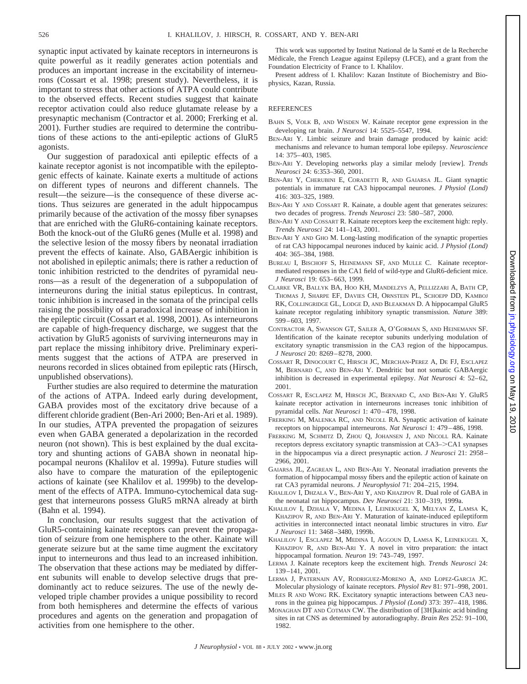synaptic input activated by kainate receptors in interneurons is quite powerful as it readily generates action potentials and produces an important increase in the excitability of interneurons (Cossart et al. 1998; present study). Nevertheless, it is important to stress that other actions of ATPA could contribute to the observed effects. Recent studies suggest that kainate receptor activation could also reduce glutamate release by a presynaptic mechanism (Contractor et al. 2000; Frerking et al. 2001). Further studies are required to determine the contributions of these actions to the anti-epileptic actions of GluR5 agonists.

Our suggestion of paradoxical anti epileptic effects of a kainate receptor agonist is not incompatible with the epileptogenic effects of kainate. Kainate exerts a multitude of actions on different types of neurons and different channels. The result—the seizure—is the consequence of these diverse actions. Thus seizures are generated in the adult hippocampus primarily because of the activation of the mossy fiber synapses that are enriched with the GluR6-containing kainate receptors. Both the knock-out of the GluR6 genes (Mulle et al. 1998) and the selective lesion of the mossy fibers by neonatal irradiation prevent the effects of kainate. Also, GABAergic inhibition is not abolished in epileptic animals; there is rather a reduction of tonic inhibition restricted to the dendrites of pyramidal neurons—as a result of the degeneration of a subpopulation of interneurons during the initial status epilepticus. In contrast, tonic inhibition is increased in the somata of the principal cells raising the possibility of a paradoxical increase of inhibition in the epileptic circuit (Cossart et al. 1998, 2001). As interneurons are capable of high-frequency discharge, we suggest that the activation by GluR5 agonists of surviving interneurons may in part replace the missing inhibitory drive. Preliminary experiments suggest that the actions of ATPA are preserved in neurons recorded in slices obtained from epileptic rats (Hirsch, unpublished observations).

Further studies are also required to determine the maturation of the actions of ATPA. Indeed early during development, GABA provides most of the excitatory drive because of a different chloride gradient (Ben-Ari 2000; Ben-Ari et al. 1989). In our studies, ATPA prevented the propagation of seizures even when GABA generated a depolarization in the recorded neuron (not shown). This is best explained by the dual excitatory and shunting actions of GABA shown in neonatal hippocampal neurons (Khalilov et al. 1999a). Future studies will also have to compare the maturation of the epileptogenic actions of kainate (see Khalilov et al. 1999b) to the development of the effects of ATPA. Immuno-cytochemical data suggest that interneurons possess GluR5 mRNA already at birth (Bahn et al. 1994).

In conclusion, our results suggest that the activation of GluR5-containing kainate receptors can prevent the propagation of seizure from one hemisphere to the other. Kainate will generate seizure but at the same time augment the excitatory input to interneurons and thus lead to an increased inhibition. The observation that these actions may be mediated by different subunits will enable to develop selective drugs that predominantly act to reduce seizures. The use of the newly developed triple chamber provides a unique possibility to record from both hemispheres and determine the effects of various procedures and agents on the generation and propagation of activities from one hemisphere to the other.

This work was supported by Institut National de la Santé et de la Recherche Médicale, the French League against Epilepsy (LFCE), and a grant from the Foundation Electricity of France to I. Khalilov.

Present address of I. Khalilov: Kazan Institute of Biochemistry and Biophysics, Kazan, Russia.

#### REFERENCES

- BAHN S, VOLK B, AND WISDEN W. Kainate receptor gene expression in the developing rat brain. *J Neurosci* 14: 5525–5547, 1994.
- BEN-ARI Y. Limbic seizure and brain damage produced by kainic acid: mechanisms and relevance to human temporal lobe epilepsy. *Neuroscience* 14: 375–403, 1985.
- BEN-ARI Y. Developing networks play a similar melody [review]. *Trends Neurosci* 24: 6:353–360, 2001.
- BEN-ARI Y, CHERUBINI E, CORADETTI R, AND GAIARSA JL. Giant synaptic potentials in immature rat CA3 hippocampal neurones. *J Physiol (Lond)* 416: 303–325, 1989.
- BEN-ARI Y AND COSSART R. Kainate, a double agent that generates seizures: two decades of progress. *Trends Neurosci* 23: 580–587, 2000.
- BEN-ARI Y AND COSSART R. Kainate receptors keep the excitement high: reply. *Trends Neurosci* 24: 141–143, 2001.
- BEN-ARI Y AND GHO M. Long-lasting modification of the synaptic properties of rat CA3 hippocampal neurones induced by kainic acid. *J Physiol (Lond)* 404: 365–384, 1988.
- BUREAU I, BISCHOFF S, HEINEMANN SF, AND MULLE C. Kainate receptormediated responses in the CA1 field of wild-type and GluR6-deficient mice. *J Neurosci* 19: 653–663, 1999.
- CLARKE VR, BALLYK BA, HOO KH, MANDELZYS A, PELLIZZARI A, BATH CP, THOMAS J, SHARPE EF, DAVIES CH, ORNSTEIN PL, SCHOEPP DD, KAMBOJ RK, COLLINGRIDGE GL, LODGE D, AND BLEAKMAN D. A hippocampal GluR5 kainate receptor regulating inhibitory synaptic transmission. *Nature* 389: 599–603, 1997.
- CONTRACTOR A, SWANSON GT, SAILER A, O'GORMAN S, AND HEINEMANN SF. Identification of the kainate receptor subunits underlying modulation of excitatory synaptic transmission in the CA3 region of the hippocampus. *J Neurosci* 20: 8269–8278, 2000.
- COSSART R, DINOCOURT C, HIRSCH JC, MERCHAN-PEREZ A, DE FJ, ESCLAPEZ M, BERNARD C, AND BEN-ARI Y. Dendritic but not somatic GABAergic inhibition is decreased in experimental epilepsy. *Nat Neurosci* 4: 52–62, 2001.
- COSSART R, ESCLAPEZ M, HIRSCH JC, BERNARD C, AND BEN-ARI Y. GluR5 kainate receptor activation in interneurons increases tonic inhibition of pyramidal cells. *Nat Neurosci* 1: 470–478, 1998.
- FRERKING M, MALENKA RC, AND NICOLL RA. Synaptic activation of kainate receptors on hippocampal interneurons. *Nat Neurosci* 1: 479–486, 1998.
- FRERKING M, SCHMITZ D, ZHOU Q, JOHANSEN J, AND NICOLL RA. Kainate receptors depress excitatory synaptic transmission at CA3–>CA1 synapses in the hippocampus via a direct presynaptic action. *J Neurosci* 21: 2958– 2966, 2001.
- GAIARSA JL, ZAGREAN L, AND BEN-ARI Y. Neonatal irradiation prevents the formation of hippocampal mossy fibers and the epileptic action of kainate on rat CA3 pyramidal neurons. *J Neurophysiol* 71: 204–215, 1994.
- KHALILOV I, DHZALA V., BEN-ARI Y, AND KHAZIPOV R. Dual role of GABA in the neonatal rat hippocampus. *Dev Neurosci* 21: 310–319, 1999a.
- KHALILOV I, DZHALA V, MEDINA I, LEINEKUGEL X, MELYAN Z, LAMSA K, KHAZIPOV R, AND BEN-ARI Y. Maturation of kainate-induced epileptiform activities in interconnected intact neonatal limbic structures in vitro. *Eur J Neurosci* 11: 3468–3480, 1999b.
- KHALILOV I, ESCLAPEZ M, MEDINA I, AGGOUN D, LAMSA K, LEINEKUGEL X, KHAZIPOV R, AND BEN-ARI Y. A novel in vitro preparation: the intact hippocampal formation. *Neuron* 19: 743–749, 1997.
- LERMA J. Kainate receptors keep the excitement high. *Trends Neurosci* 24: 139–141, 2001.
- LERMA J, PATERNAIN AV, RODRIGUEZ-MORENO A, AND LOPEZ-GARCIA JC. Molecular physiology of kainate receptors. *Physiol Rev* 81: 971–998, 2001.
- MILES R AND WONG RK. Excitatory synaptic interactions between CA3 neurons in the guinea pig hippocampus. *J Physiol (Lond)* 373: 397–418, 1986.
- MONAGHAN DT AND COTMAN CW. The distribution of [3H]kainic acid binding sites in rat CNS as determined by autoradiography. *Brain Res* 252: 91–100, 1982.